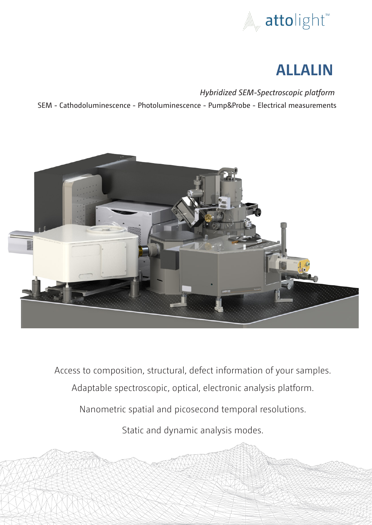

# **ALLALIN**

*Hybridized SEM-Spectroscopic platform*  SEM - Cathodoluminescence - Photoluminescence - Pump&Probe - Electrical measurements



Access to composition, structural, defect information of your samples.

Adaptable spectroscopic, optical, electronic analysis platform.

Nanometric spatial and picosecond temporal resolutions.

Static and dynamic analysis modes.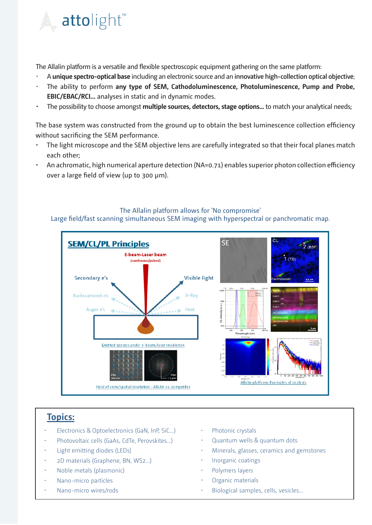

The Allalin platform is a versatile and flexible spectroscopic equipment gathering on the same platform:

- A **unique spectro-optical base** including an electronic source and an **innovative high-collection optical objective**;
- The ability to perform **any type of SEM, Cathodoluminescence, Photoluminescence, Pump and Probe, EBIC/EBAC/RCI...** analyses in static and in dynamic modes.
- The possibility to choose amongst **multiple sources, detectors, stage options...** to match your analytical needs;

The base system was constructed from the ground up to obtain the best luminescence collection efficiency without sacrificing the SEM performance.

- The light microscope and the SEM objective lens are carefully integrated so that their focal planes match each other;
- An achromatic, high numerical aperture detection (NA=0.71) enables superior photon collection efficiency over a large field of view (up to 300 µm).

### The Allalin platform allows for 'No compromise'

Large field/fast scanning simultaneous SEM imaging with hyperspectral or panchromatic map.



## **Topics:**

- Electronics & Optoelectronics (GaN, InP, SiC...)
- Photovoltaic cells (GaAs, CdTe, Perovskites…)
- Light emitting diodes (LEDs)
- 2D materials (Graphene, BN, WS2…)
- Noble metals (plasmonic)
- Nano-micro particles
- Nano-micro wires/rods
- Photonic crystals
- Quantum wells & quantum dots
- Minerals, glasses, ceramics and gemstones
- Inorganic coatings
- Polymers layers
- Organic materials
- Biological samples, cells, vesicles...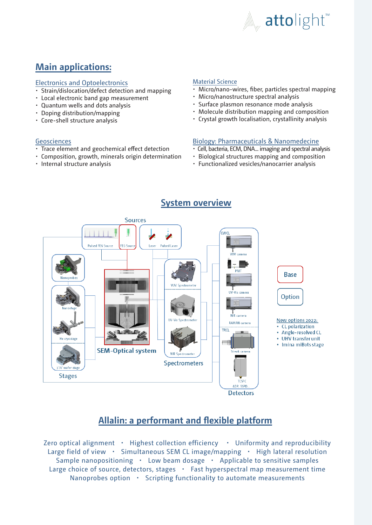

# **Main applications:**

### Electronics and Optoelectronics

- Strain/dislocation/defect detection and mapping
- Local electronic band gap measurement
- Quantum wells and dots analysis
- Doping distribution/mapping
- Core-shell structure analysis

### Geosciences

- Trace element and geochemical effect detection
- Composition, growth, minerals origin determination
- Internal structure analysis

### Material Science

- Micro/nano-wires, fiber, particles spectral mapping
- Micro/nanostructure spectral analysis
- Surface plasmon resonance mode analysis
- Molecule distribution mapping and composition
- Crystal growth localisation, crystallinity analysis

### Biology: Pharmaceuticals & Nanomedecine

- Cell, bacteria, ECM, DNA... imaging and spectral analysis
- Biological structures mapping and composition
- Functionalized vesicles/nanocarrier analysis



# **Allalin: a performant and flexible platform**

Zero optical alignment • Highest collection efficiency • Uniformity and reproducibility Large field of view • Simultaneous SEM CL image/mapping • High lateral resolution Sample nanopositioning • Low beam dosage • Applicable to sensitive samples Large choice of source, detectors, stages  $\cdot$  Fast hyperspectral map measurement time Nanoprobes option • Scripting functionality to automate measurements

# **System overview**